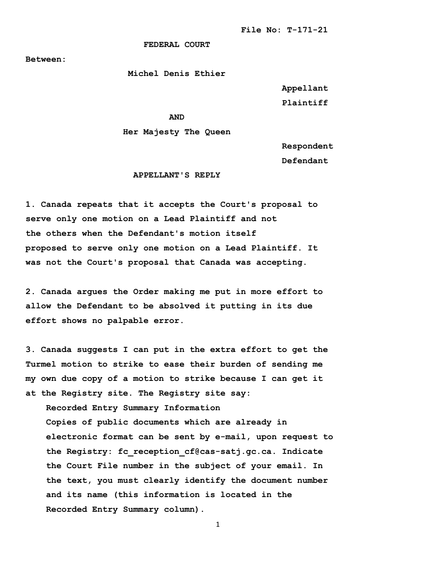## **FEDERAL COURT**

**Between:**

 **Michel Denis Ethier**

 **Appellant Plaintiff**

*AND* 

## **Her Majesty The Queen**

 **Respondent**

**Defendant**

## **APPELLANT'S REPLY**

**1. Canada repeats that it accepts the Court's proposal to serve only one motion on a Lead Plaintiff and not the others when the Defendant's motion itself proposed to serve only one motion on a Lead Plaintiff. It was not the Court's proposal that Canada was accepting.** 

**2. Canada argues the Order making me put in more effort to allow the Defendant to be absolved it putting in its due effort shows no palpable error.**

**3. Canada suggests I can put in the extra effort to get the Turmel motion to strike to ease their burden of sending me my own due copy of a motion to strike because I can get it at the Registry site. The Registry site say:** 

 **Recorded Entry Summary Information Copies of public documents which are already in electronic format can be sent by e-mail, upon request to the Registry: fc\_reception\_cf@cas-satj.gc.ca. Indicate the Court File number in the subject of your email. In the text, you must clearly identify the document number and its name (this information is located in the Recorded Entry Summary column).**

1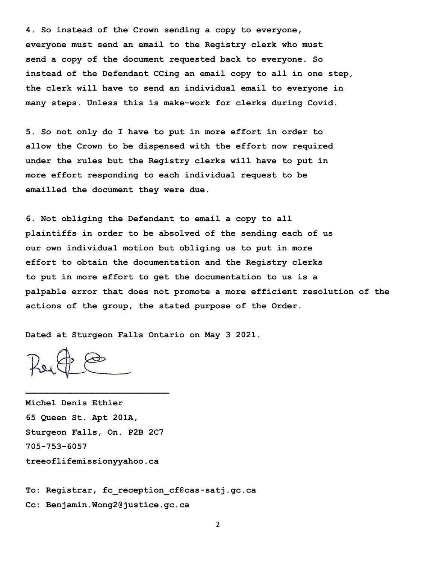**4. So instead of the Crown sending a copy to everyone, everyone must send an email to the Registry clerk who must send a copy of the document requested back to everyone. So instead of the Defendant CCing an email copy to all in one step, the clerk will have to send an individual email to everyone in many steps. Unless this is make-work for clerks during Covid.** 

**5. So not only do I have to put in more effort in order to allow the Crown to be dispensed with the effort now required under the rules but the Registry clerks will have to put in more effort responding to each individual request to be emailled the document they were due.** 

**6. Not obliging the Defendant to email a copy to all plaintiffs in order to be absolved of the sending each of us our own individual motion but obliging us to put in more effort to obtain the documentation and the Registry clerks to put in more effort to get the documentation to us is a palpable error that does not promote a more efficient resolution of the actions of the group, the stated purpose of the Order.** 

**Dated at Sturgeon Falls Ontario on May 3 2021.** 

**\_\_\_\_\_\_\_\_\_\_\_\_\_\_\_\_\_\_\_\_\_\_\_\_\_\_\_\_**

**Michel Denis Ethier 65 Queen St. Apt 201A, Sturgeon Falls, On. P2B 2C7 705-753-6057 treeoflifemissionyyahoo.ca**

**To: Registrar, fc\_reception\_cf@cas-satj.gc.ca Cc: Benjamin.Wong2@justice.gc.ca**